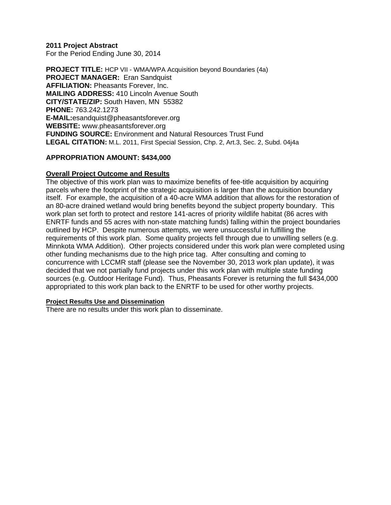**2011 Project Abstract**  For the Period Ending June 30, 2014

**PROJECT TITLE:** HCP VII - WMA/WPA Acquisition beyond Boundaries (4a) **PROJECT MANAGER:** Eran Sandquist **AFFILIATION: Pheasants Forever, Inc. MAILING ADDRESS:** 410 Lincoln Avenue South **CITY/STATE/ZIP:** South Haven, MN 55382 **PHONE:** 763.242.1273 **E-MAIL:**esandquist@pheasantsforever.org **WEBSITE:** www.pheasantsforever.org **FUNDING SOURCE:** Environment and Natural Resources Trust Fund **LEGAL CITATION:** M.L. 2011, First Special Session, Chp. 2, Art.3, Sec. 2, Subd. 04j4a

### **APPROPRIATION AMOUNT: \$434,000**

### **Overall Project Outcome and Results**

The objective of this work plan was to maximize benefits of fee-title acquisition by acquiring parcels where the footprint of the strategic acquisition is larger than the acquisition boundary itself. For example, the acquisition of a 40-acre WMA addition that allows for the restoration of an 80-acre drained wetland would bring benefits beyond the subject property boundary. This work plan set forth to protect and restore 141-acres of priority wildlife habitat (86 acres with ENRTF funds and 55 acres with non-state matching funds) falling within the project boundaries outlined by HCP. Despite numerous attempts, we were unsuccessful in fulfilling the requirements of this work plan. Some quality projects fell through due to unwilling sellers (e.g. Minnkota WMA Addition). Other projects considered under this work plan were completed using other funding mechanisms due to the high price tag. After consulting and coming to concurrence with LCCMR staff (please see the November 30, 2013 work plan update), it was decided that we not partially fund projects under this work plan with multiple state funding sources (e.g. Outdoor Heritage Fund). Thus, Pheasants Forever is returning the full \$434,000 appropriated to this work plan back to the ENRTF to be used for other worthy projects.

#### **Project Results Use and Dissemination**

There are no results under this work plan to disseminate.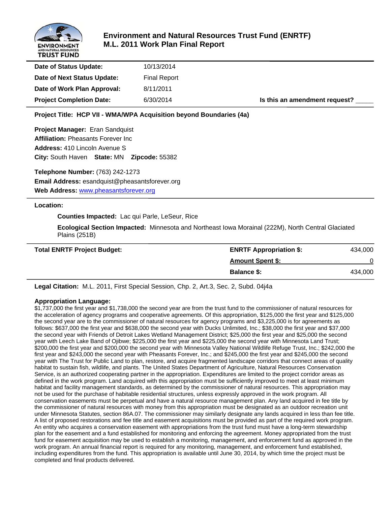

# **Environment and Natural Resources Trust Fund (ENRTF) M.L. 2011 Work Plan Final Report**

| Date of Status Update:          | 10/13/2014          |                               |
|---------------------------------|---------------------|-------------------------------|
| Date of Next Status Update:     | <b>Final Report</b> |                               |
| Date of Work Plan Approval:     | 8/11/2011           |                               |
| <b>Project Completion Date:</b> | 6/30/2014           | Is this an amendment request? |

**Project Title: HCP VII - WMA/WPA Acquisition beyond Boundaries (4a)**

**Project Manager:** Eran Sandquist **Affiliation:** Pheasants Forever Inc **Address:** 410 Lincoln Avenue S **City:** South Haven **State:** MN **Zipcode:** 55382

**Telephone Number:** (763) 242-1273 **Email Address:** esandquist@pheasantsforever.org **Web Address:** www.pheasantsforever.org

#### **Location:**

 **Counties Impacted:** Lac qui Parle, LeSeur, Rice

 **Ecological Section Impacted:** Minnesota and Northeast Iowa Morainal (222M), North Central Glaciated Plains (251B)

| <b>Total ENRTF Project Budget:</b> | <b>ENRTF Appropriation \$:</b> | 434,000 |
|------------------------------------|--------------------------------|---------|
|                                    | <b>Amount Spent \$:</b>        |         |
|                                    | <b>Balance \$:</b>             | 434,000 |

**Legal Citation:** M.L. 2011, First Special Session, Chp. 2, Art.3, Sec. 2, Subd. 04j4a

#### **Appropriation Language:**

\$1,737,000 the first year and \$1,738,000 the second year are from the trust fund to the commissioner of natural resources for the acceleration of agency programs and cooperative agreements. Of this appropriation, \$125,000 the first year and \$125,000 the second year are to the commissioner of natural resources for agency programs and \$3,225,000 is for agreements as follows: \$637,000 the first year and \$638,000 the second year with Ducks Unlimited, Inc.; \$38,000 the first year and \$37,000 the second year with Friends of Detroit Lakes Wetland Management District; \$25,000 the first year and \$25,000 the second year with Leech Lake Band of Ojibwe; \$225,000 the first year and \$225,000 the second year with Minnesota Land Trust; \$200,000 the first year and \$200,000 the second year with Minnesota Valley National Wildlife Refuge Trust, Inc.; \$242,000 the first year and \$243,000 the second year with Pheasants Forever, Inc.; and \$245,000 the first year and \$245,000 the second year with The Trust for Public Land to plan, restore, and acquire fragmented landscape corridors that connect areas of quality habitat to sustain fish, wildlife, and plants. The United States Department of Agriculture, Natural Resources Conservation Service, is an authorized cooperating partner in the appropriation. Expenditures are limited to the project corridor areas as defined in the work program. Land acquired with this appropriation must be sufficiently improved to meet at least minimum habitat and facility management standards, as determined by the commissioner of natural resources. This appropriation may not be used for the purchase of habitable residential structures, unless expressly approved in the work program. All conservation easements must be perpetual and have a natural resource management plan. Any land acquired in fee title by the commissioner of natural resources with money from this appropriation must be designated as an outdoor recreation unit under Minnesota Statutes, section 86A.07. The commissioner may similarly designate any lands acquired in less than fee title. A list of proposed restorations and fee title and easement acquisitions must be provided as part of the required work program. An entity who acquires a conservation easement with appropriations from the trust fund must have a long-term stewardship plan for the easement and a fund established for monitoring and enforcing the agreement. Money appropriated from the trust fund for easement acquisition may be used to establish a monitoring, management, and enforcement fund as approved in the work program. An annual financial report is required for any monitoring, management, and enforcement fund established, including expenditures from the fund. This appropriation is available until June 30, 2014, by which time the project must be completed and final products delivered.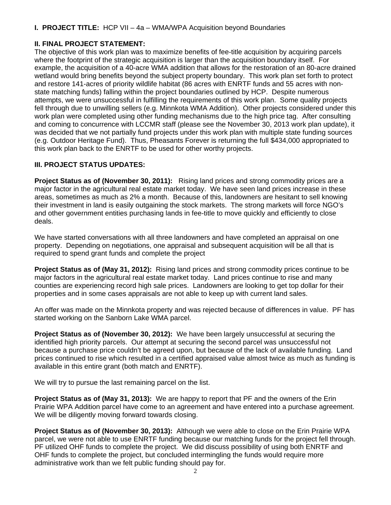### **I. PROJECT TITLE:** HCP VII – 4a – WMA/WPA Acquisition beyond Boundaries

### **II. FINAL PROJECT STATEMENT:**

The objective of this work plan was to maximize benefits of fee-title acquisition by acquiring parcels where the footprint of the strategic acquisition is larger than the acquisition boundary itself. For example, the acquisition of a 40-acre WMA addition that allows for the restoration of an 80-acre drained wetland would bring benefits beyond the subject property boundary. This work plan set forth to protect and restore 141-acres of priority wildlife habitat (86 acres with ENRTF funds and 55 acres with nonstate matching funds) falling within the project boundaries outlined by HCP. Despite numerous attempts, we were unsuccessful in fulfilling the requirements of this work plan. Some quality projects fell through due to unwilling sellers (e.g. Minnkota WMA Addition). Other projects considered under this work plan were completed using other funding mechanisms due to the high price tag. After consulting and coming to concurrence with LCCMR staff (please see the November 30, 2013 work plan update), it was decided that we not partially fund projects under this work plan with multiple state funding sources (e.g. Outdoor Heritage Fund). Thus, Pheasants Forever is returning the full \$434,000 appropriated to this work plan back to the ENRTF to be used for other worthy projects.

# **III. PROJECT STATUS UPDATES:**

**Project Status as of (November 30, 2011):** Rising land prices and strong commodity prices are a major factor in the agricultural real estate market today. We have seen land prices increase in these areas, sometimes as much as 2% a month. Because of this, landowners are hesitant to sell knowing their investment in land is easily outgaining the stock markets. The strong markets will force NGO's and other government entities purchasing lands in fee-title to move quickly and efficiently to close deals.

We have started conversations with all three landowners and have completed an appraisal on one property. Depending on negotiations, one appraisal and subsequent acquisition will be all that is required to spend grant funds and complete the project

**Project Status as of (May 31, 2012):** Rising land prices and strong commodity prices continue to be major factors in the agricultural real estate market today. Land prices continue to rise and many counties are experiencing record high sale prices. Landowners are looking to get top dollar for their properties and in some cases appraisals are not able to keep up with current land sales.

An offer was made on the Minnkota property and was rejected because of differences in value. PF has started working on the Sanborn Lake WMA parcel.

**Project Status as of (November 30, 2012):** We have been largely unsuccessful at securing the identified high priority parcels. Our attempt at securing the second parcel was unsuccessful not because a purchase price couldn't be agreed upon, but because of the lack of available funding. Land prices continued to rise which resulted in a certified appraised value almost twice as much as funding is available in this entire grant (both match and ENRTF).

We will try to pursue the last remaining parcel on the list.

**Project Status as of (May 31, 2013):** We are happy to report that PF and the owners of the Erin Prairie WPA Addition parcel have come to an agreement and have entered into a purchase agreement. We will be diligently moving forward towards closing.

**Project Status as of (November 30, 2013):** Although we were able to close on the Erin Prairie WPA parcel, we were not able to use ENRTF funding because our matching funds for the project fell through. PF utilized OHF funds to complete the project. We did discuss possibility of using both ENRTF and OHF funds to complete the project, but concluded intermingling the funds would require more administrative work than we felt public funding should pay for.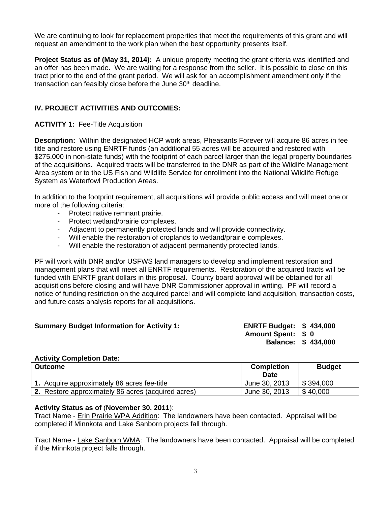We are continuing to look for replacement properties that meet the requirements of this grant and will request an amendment to the work plan when the best opportunity presents itself.

**Project Status as of (May 31, 2014):** A unique property meeting the grant criteria was identified and an offer has been made. We are waiting for a response from the seller. It is possible to close on this tract prior to the end of the grant period. We will ask for an accomplishment amendment only if the transaction can feasibly close before the June  $30<sup>th</sup>$  deadline.

### **IV. PROJECT ACTIVITIES AND OUTCOMES:**

### **ACTIVITY 1:** Fee-Title Acquisition

**Description:** Within the designated HCP work areas, Pheasants Forever will acquire 86 acres in fee title and restore using ENRTF funds (an additional 55 acres will be acquired and restored with \$275,000 in non-state funds) with the footprint of each parcel larger than the legal property boundaries of the acquisitions. Acquired tracts will be transferred to the DNR as part of the Wildlife Management Area system or to the US Fish and Wildlife Service for enrollment into the National Wildlife Refuge System as Waterfowl Production Areas.

In addition to the footprint requirement, all acquisitions will provide public access and will meet one or more of the following criteria:

- Protect native remnant prairie.
- Protect wetland/prairie complexes.
- Adjacent to permanently protected lands and will provide connectivity.
- Will enable the restoration of croplands to wetland/prairie complexes.
- Will enable the restoration of adjacent permanently protected lands.

PF will work with DNR and/or USFWS land managers to develop and implement restoration and management plans that will meet all ENRTF requirements. Restoration of the acquired tracts will be funded with ENRTF grant dollars in this proposal. County board approval will be obtained for all acquisitions before closing and will have DNR Commissioner approval in writing. PF will record a notice of funding restriction on the acquired parcel and will complete land acquisition, transaction costs, and future costs analysis reports for all acquisitions.

### **Summary Budget Information for Activity 1:**

| <b>ENRTF Budget:</b> |           | \$434,000 |
|----------------------|-----------|-----------|
| <b>Amount Spent:</b> | <b>SO</b> |           |
| <b>Balance:</b>      |           | \$434,000 |

#### **Activity Completion Date:**

| <b>Outcome</b>                                     | <b>Completion</b><br><b>Date</b> | <b>Budget</b> |
|----------------------------------------------------|----------------------------------|---------------|
| 1. Acquire approximately 86 acres fee-title        | June 30, 2013                    | \$394,000     |
| 2. Restore approximately 86 acres (acquired acres) | June 30, 2013                    | \$40,000      |

#### **Activity Status as of** (**November 30, 2011**):

Tract Name - Erin Prairie WPA Addition: The landowners have been contacted. Appraisal will be completed if Minnkota and Lake Sanborn projects fall through.

Tract Name - Lake Sanborn WMA: The landowners have been contacted. Appraisal will be completed if the Minnkota project falls through.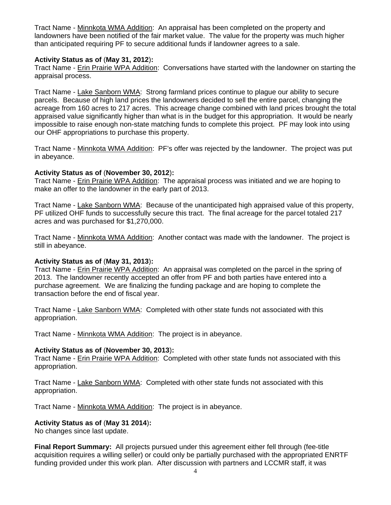Tract Name - Minnkota WMA Addition: An appraisal has been completed on the property and landowners have been notified of the fair market value. The value for the property was much higher than anticipated requiring PF to secure additional funds if landowner agrees to a sale.

### **Activity Status as of** (**May 31, 2012**)**:**

Tract Name - Erin Prairie WPA Addition: Conversations have started with the landowner on starting the appraisal process.

Tract Name - Lake Sanborn WMA: Strong farmland prices continue to plague our ability to secure parcels. Because of high land prices the landowners decided to sell the entire parcel, changing the acreage from 160 acres to 217 acres. This acreage change combined with land prices brought the total appraised value significantly higher than what is in the budget for this appropriation. It would be nearly impossible to raise enough non-state matching funds to complete this project. PF may look into using our OHF appropriations to purchase this property.

Tract Name - Minnkota WMA Addition: PF's offer was rejected by the landowner. The project was put in abeyance.

### **Activity Status as of** (**November 30, 2012**)**:**

Tract Name - Erin Prairie WPA Addition: The appraisal process was initiated and we are hoping to make an offer to the landowner in the early part of 2013.

Tract Name - Lake Sanborn WMA: Because of the unanticipated high appraised value of this property, PF utilized OHF funds to successfully secure this tract. The final acreage for the parcel totaled 217 acres and was purchased for \$1,270,000.

Tract Name - Minnkota WMA Addition: Another contact was made with the landowner. The project is still in abeyance.

# **Activity Status as of** (**May 31, 2013**)**:**

Tract Name - Erin Prairie WPA Addition: An appraisal was completed on the parcel in the spring of 2013. The landowner recently accepted an offer from PF and both parties have entered into a purchase agreement. We are finalizing the funding package and are hoping to complete the transaction before the end of fiscal year.

Tract Name - Lake Sanborn WMA: Completed with other state funds not associated with this appropriation.

Tract Name - Minnkota WMA Addition: The project is in abeyance.

### **Activity Status as of** (**November 30, 2013**)**:**

Tract Name - Erin Prairie WPA Addition: Completed with other state funds not associated with this appropriation.

Tract Name - Lake Sanborn WMA: Completed with other state funds not associated with this appropriation.

Tract Name - Minnkota WMA Addition: The project is in abeyance.

# **Activity Status as of** (**May 31 2014**)**:**

No changes since last update.

**Final Report Summary:** All projects pursued under this agreement either fell through (fee-title acquisition requires a willing seller) or could only be partially purchased with the appropriated ENRTF funding provided under this work plan. After discussion with partners and LCCMR staff, it was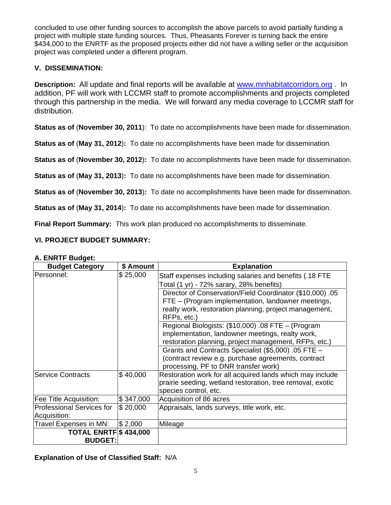concluded to use other funding sources to accomplish the above parcels to avoid partially funding a project with multiple state funding sources. Thus, Pheasants Forever is turning back the entire \$434,000 to the ENRTF as the proposed projects either did not have a willing seller or the acquisition project was completed under a different program.

# **V. DISSEMINATION:**

**Description:** All update and final reports will be available at www.mnhabitatcorridors.org . In addition, PF will work with LCCMR staff to promote accomplishments and projects completed through this partnership in the media. We will forward any media coverage to LCCMR staff for distribution.

**Status as of** (**November 30, 2011**): To date no accomplishments have been made for dissemination.

**Status as of** (**May 31, 2012**)**:** To date no accomplishments have been made for dissemination.

**Status as of** (**November 30, 2012**)**:** To date no accomplishments have been made for dissemination.

**Status as of** (**May 31, 2013**)**:** To date no accomplishments have been made for dissemination.

**Status as of** (**November 30, 2013**)**:** To date no accomplishments have been made for dissemination.

**Status as of** (**May 31, 2014**)**:** To date no accomplishments have been made for dissemination.

**Final Report Summary:** This work plan produced no accomplishments to disseminate.

# **VI. PROJECT BUDGET SUMMARY:**

| <b>Budget Category</b>           | \$ Amount | <b>Explanation</b>                                         |  |  |  |
|----------------------------------|-----------|------------------------------------------------------------|--|--|--|
| Personnel:                       | \$25,000  | Staff expenses including salaries and benefits (.18 FTE    |  |  |  |
|                                  |           | Total (1 yr) - 72% sarary, 28% benefits)                   |  |  |  |
|                                  |           | Director of Conservation/Field Coordinator (\$10,000) .05  |  |  |  |
|                                  |           | FTE - (Program implementation, landowner meetings,         |  |  |  |
|                                  |           | realty work, restoration planning, project management,     |  |  |  |
|                                  |           | RFPs, etc.)                                                |  |  |  |
|                                  |           | Regional Biologists: (\$10,000) .08 FTE - (Program         |  |  |  |
|                                  |           | implementation, landowner meetings, realty work,           |  |  |  |
|                                  |           | restoration planning, project management, RFPs, etc.)      |  |  |  |
|                                  |           | Grants and Contracts Specialist (\$5,000) .05 FTE -        |  |  |  |
|                                  |           | (contract review e.g. purchase agreements, contract        |  |  |  |
|                                  |           | processing, PF to DNR transfer work)                       |  |  |  |
| <b>Service Contracts</b>         | \$40,000  | Restoration work for all acquired lands which may include  |  |  |  |
|                                  |           | prairie seeding, wetland restoration, tree removal, exotic |  |  |  |
|                                  |           | species control, etc.                                      |  |  |  |
| Fee Title Acquisition:           | \$347,000 | Acquisition of 86 acres                                    |  |  |  |
| <b>Professional Services for</b> | \$20,000  | Appraisals, lands surveys, title work, etc.                |  |  |  |
| Acquisition:                     |           |                                                            |  |  |  |
| Travel Expenses in MN:           | \$2,000   | Mileage                                                    |  |  |  |
| <b>TOTAL ENRTF \$434,000</b>     |           |                                                            |  |  |  |
| <b>BUDGET:</b>                   |           |                                                            |  |  |  |

### **A. ENRTF Budget:**

**Explanation of Use of Classified Staff:** N/A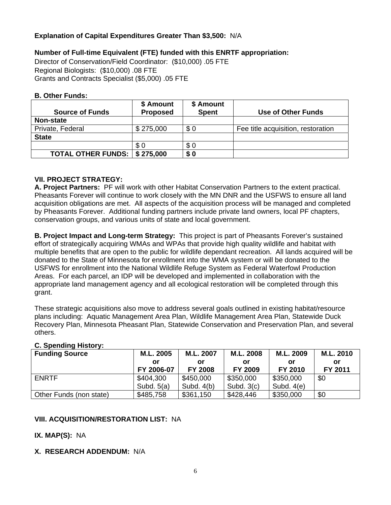### **Explanation of Capital Expenditures Greater Than \$3,500:** N/A

### **Number of Full-time Equivalent (FTE) funded with this ENRTF appropriation:**

Director of Conservation/Field Coordinator: (\$10,000) .05 FTE Regional Biologists: (\$10,000) .08 FTE Grants and Contracts Specialist (\$5,000) .05 FTE

#### **B. Other Funds:**

|                                        | \$ Amount       | \$ Amount    |                                    |
|----------------------------------------|-----------------|--------------|------------------------------------|
| <b>Source of Funds</b>                 | <b>Proposed</b> | <b>Spent</b> | Use of Other Funds                 |
| <b>Non-state</b>                       |                 |              |                                    |
| Private, Federal                       | \$275,000       | \$0          | Fee title acquisition, restoration |
| <b>State</b>                           |                 |              |                                    |
|                                        | \$0             | \$0          |                                    |
| <b>TOTAL OTHER FUNDS:   \$ 275,000</b> |                 | \$0          |                                    |

### **VII. PROJECT STRATEGY:**

**A. Project Partners:** PF will work with other Habitat Conservation Partners to the extent practical. Pheasants Forever will continue to work closely with the MN DNR and the USFWS to ensure all land acquisition obligations are met. All aspects of the acquisition process will be managed and completed by Pheasants Forever. Additional funding partners include private land owners, local PF chapters, conservation groups, and various units of state and local government.

**B. Project Impact and Long-term Strategy:** This project is part of Pheasants Forever's sustained effort of strategically acquiring WMAs and WPAs that provide high quality wildlife and habitat with multiple benefits that are open to the public for wildlife dependant recreation. All lands acquired will be donated to the State of Minnesota for enrollment into the WMA system or will be donated to the USFWS for enrollment into the National Wildlife Refuge System as Federal Waterfowl Production Areas. For each parcel, an IDP will be developed and implemented in collaboration with the appropriate land management agency and all ecological restoration will be completed through this grant.

These strategic acquisitions also move to address several goals outlined in existing habitat/resource plans including: Aquatic Management Area Plan, Wildlife Management Area Plan, Statewide Duck Recovery Plan, Minnesota Pheasant Plan, Statewide Conservation and Preservation Plan, and several others.

### **C. Spending History:**

| <b>Funding Source</b>   | M.L. 2005    | M.L. 2007      | M.L. 2008      | M.L. 2009    | M.L. 2010 |
|-------------------------|--------------|----------------|----------------|--------------|-----------|
|                         | or           | Οľ             | or             | or           | or        |
|                         | FY 2006-07   | <b>FY 2008</b> | <b>FY 2009</b> | FY 2010      | FY 2011   |
| <b>ENRTF</b>            | \$404,300    | \$450,000      | \$350,000      | \$350,000    | \$0       |
|                         | Subd. $5(a)$ | Subd. $4(b)$   | Subd. $3(c)$   | Subd. $4(e)$ |           |
| Other Funds (non state) | \$485,758    | \$361,150      | \$428,446      | \$350,000    | \$0       |

# **VIII. ACQUISITION/RESTORATION LIST:** NA

### **IX. MAP(S):** NA

### **X. RESEARCH ADDENDUM:** N/A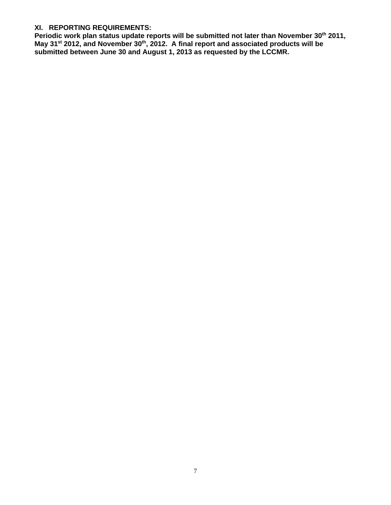#### **XI. REPORTING REQUIREMENTS:**

Periodic work plan status update reports will be submitted not later than November 30<sup>th</sup> 2011, May 31<sup>st</sup> 2012, and November 30<sup>th</sup>, 2012. A final report and associated products will be **submitted between June 30 and August 1, 2013 as requested by the LCCMR.**